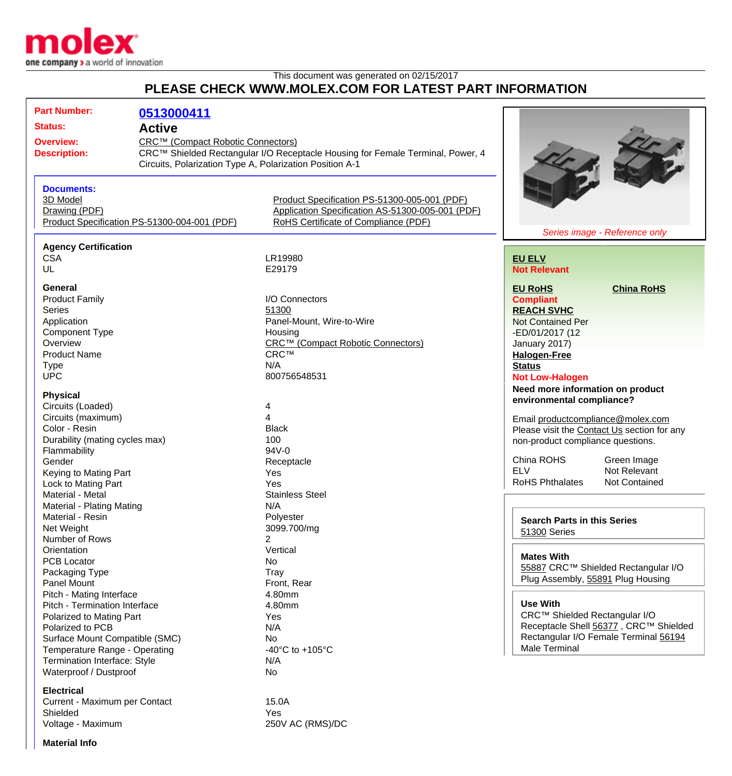

## This document was generated on 02/15/2017 **PLEASE CHECK WWW.MOLEX.COM FOR LATEST PART INFORMATION**

| <b>Part Number:</b><br><b>Status:</b><br><b>Overview:</b><br><b>Description:</b>               | 0513000411<br><b>Active</b><br>CRC™ (Compact Robotic Connectors)<br>Circuits, Polarization Type A, Polarization Position A-1 | CRC™ Shielded Rectangular I/O Receptacle Housing for Female Terminal, Power, 4                                                           |                                             |                                       |  |
|------------------------------------------------------------------------------------------------|------------------------------------------------------------------------------------------------------------------------------|------------------------------------------------------------------------------------------------------------------------------------------|---------------------------------------------|---------------------------------------|--|
| <b>Documents:</b><br>3D Model<br>Drawing (PDF)<br>Product Specification PS-51300-004-001 (PDF) |                                                                                                                              | Product Specification PS-51300-005-001 (PDF)<br>Application Specification AS-51300-005-001 (PDF)<br>RoHS Certificate of Compliance (PDF) |                                             | Series image - Reference only         |  |
|                                                                                                |                                                                                                                              |                                                                                                                                          |                                             |                                       |  |
| <b>Agency Certification</b><br><b>CSA</b><br>UL                                                |                                                                                                                              | LR19980<br>E29179                                                                                                                        | <b>EU ELV</b><br><b>Not Relevant</b>        |                                       |  |
| General                                                                                        |                                                                                                                              |                                                                                                                                          | <b>EU RoHS</b>                              | <b>China RoHS</b>                     |  |
| <b>Product Family</b>                                                                          |                                                                                                                              | I/O Connectors                                                                                                                           | <b>Compliant</b>                            |                                       |  |
| <b>Series</b>                                                                                  |                                                                                                                              | 51300                                                                                                                                    | <b>REACH SVHC</b>                           |                                       |  |
| Application                                                                                    |                                                                                                                              | Panel-Mount, Wire-to-Wire                                                                                                                | <b>Not Contained Per</b>                    |                                       |  |
| <b>Component Type</b>                                                                          |                                                                                                                              | Housing                                                                                                                                  | -ED/01/2017 (12                             |                                       |  |
| Overview                                                                                       |                                                                                                                              | CRC™ (Compact Robotic Connectors)                                                                                                        | January 2017)                               |                                       |  |
| <b>Product Name</b>                                                                            |                                                                                                                              | <b>CRC™</b>                                                                                                                              | <b>Halogen-Free</b>                         |                                       |  |
| <b>Type</b>                                                                                    |                                                                                                                              | N/A                                                                                                                                      | <b>Status</b>                               |                                       |  |
| <b>UPC</b>                                                                                     |                                                                                                                              | 800756548531                                                                                                                             | <b>Not Low-Halogen</b>                      |                                       |  |
|                                                                                                |                                                                                                                              |                                                                                                                                          | Need more information on product            |                                       |  |
| <b>Physical</b>                                                                                |                                                                                                                              |                                                                                                                                          | environmental compliance?                   |                                       |  |
| Circuits (Loaded)                                                                              |                                                                                                                              | 4                                                                                                                                        |                                             |                                       |  |
| Circuits (maximum)                                                                             |                                                                                                                              | 4                                                                                                                                        | Email productcompliance@molex.com           |                                       |  |
| Color - Resin                                                                                  |                                                                                                                              | <b>Black</b>                                                                                                                             | Please visit the Contact Us section for any |                                       |  |
| Durability (mating cycles max)                                                                 |                                                                                                                              | 100                                                                                                                                      | non-product compliance questions.           |                                       |  |
| Flammability<br>Gender                                                                         |                                                                                                                              | $94V - 0$                                                                                                                                | China ROHS                                  | Green Image                           |  |
| Keying to Mating Part                                                                          |                                                                                                                              | Receptacle<br>Yes                                                                                                                        | <b>ELV</b>                                  | Not Relevant                          |  |
| Lock to Mating Part                                                                            |                                                                                                                              | Yes                                                                                                                                      | <b>RoHS Phthalates</b>                      | Not Contained                         |  |
| Material - Metal                                                                               |                                                                                                                              | <b>Stainless Steel</b>                                                                                                                   |                                             |                                       |  |
| Material - Plating Mating                                                                      |                                                                                                                              | N/A                                                                                                                                      |                                             |                                       |  |
| Material - Resin                                                                               |                                                                                                                              | Polyester                                                                                                                                |                                             |                                       |  |
| Net Weight                                                                                     |                                                                                                                              | 3099.700/mg                                                                                                                              | <b>Search Parts in this Series</b>          |                                       |  |
| Number of Rows                                                                                 |                                                                                                                              | 2                                                                                                                                        | 51300 Series                                |                                       |  |
| Orientation                                                                                    |                                                                                                                              | Vertical                                                                                                                                 |                                             |                                       |  |
| <b>PCB Locator</b>                                                                             |                                                                                                                              | No                                                                                                                                       | <b>Mates With</b>                           |                                       |  |
| Packaging Type                                                                                 |                                                                                                                              | Tray                                                                                                                                     |                                             | 55887 CRC™ Shielded Rectangular I/O   |  |
| <b>Panel Mount</b>                                                                             |                                                                                                                              | Front, Rear                                                                                                                              |                                             | Plug Assembly, 55891 Plug Housing     |  |
| Pitch - Mating Interface                                                                       |                                                                                                                              | 4.80mm                                                                                                                                   |                                             |                                       |  |
| Pitch - Termination Interface                                                                  |                                                                                                                              | 4.80mm                                                                                                                                   | <b>Use With</b>                             |                                       |  |
| Polarized to Mating Part                                                                       |                                                                                                                              | Yes                                                                                                                                      |                                             | CRC™ Shielded Rectangular I/O         |  |
| Polarized to PCB                                                                               |                                                                                                                              | N/A                                                                                                                                      |                                             | Receptacle Shell 56377, CRC™ Shielded |  |
| Surface Mount Compatible (SMC)                                                                 |                                                                                                                              | No                                                                                                                                       |                                             | Rectangular I/O Female Terminal 56194 |  |
| Temperature Range - Operating                                                                  |                                                                                                                              | -40 $^{\circ}$ C to +105 $^{\circ}$ C                                                                                                    | <b>Male Terminal</b>                        |                                       |  |
| Termination Interface: Style                                                                   |                                                                                                                              | N/A                                                                                                                                      |                                             |                                       |  |
| Waterproof / Dustproof                                                                         |                                                                                                                              | No                                                                                                                                       |                                             |                                       |  |
|                                                                                                |                                                                                                                              |                                                                                                                                          |                                             |                                       |  |
| <b>Electrical</b><br>Current - Maximum per Contact                                             |                                                                                                                              | 15.0A                                                                                                                                    |                                             |                                       |  |
|                                                                                                |                                                                                                                              |                                                                                                                                          |                                             |                                       |  |

Shielded Yes

Voltage - Maximum 250V AC (RMS)/DC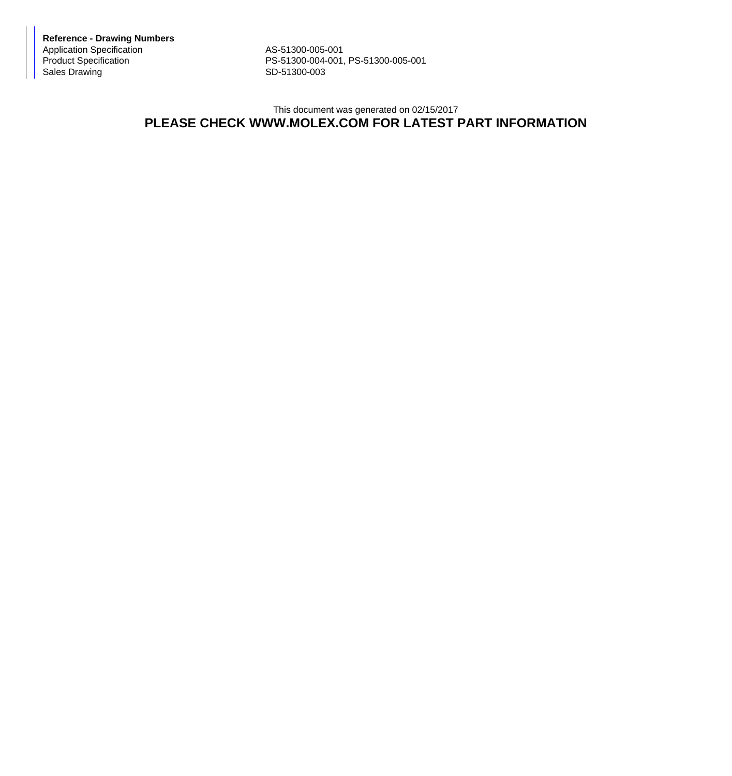**Reference - Drawing Numbers** Application Specification AS-51300-005-001<br>Product Specification AS-51300-004-001,

Product Specification <br>
Sales Drawing **PS-51300-004-001, PS-51300-005-001**<br>
SD-51300-003 SD-51300-003

## This document was generated on 02/15/2017 **PLEASE CHECK WWW.MOLEX.COM FOR LATEST PART INFORMATION**